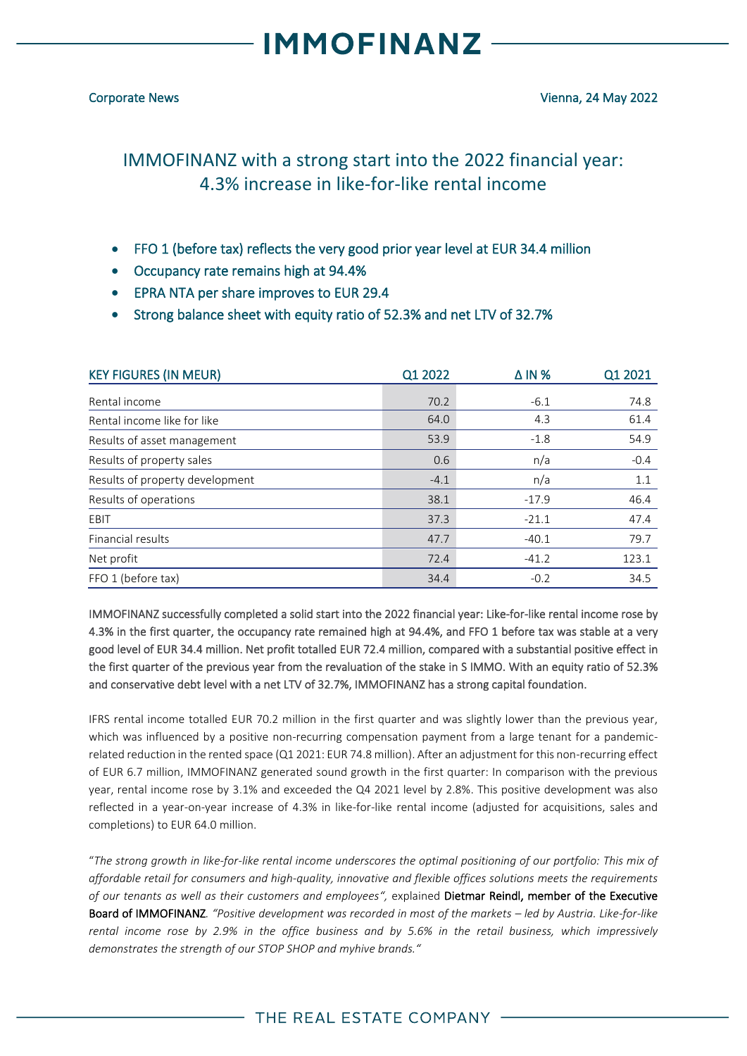### **IMMOFINANZ**

### IMMOFINANZ with a strong start into the 2022 financial year: 4.3% increase in like-for-like rental income

- FFO 1 (before tax) reflects the very good prior year level at EUR 34.4 million
- Occupancy rate remains high at 94.4%
- EPRA NTA per share improves to EUR 29.4
- Strong balance sheet with equity ratio of 52.3% and net LTV of 32.7%

| <b>KEY FIGURES (IN MEUR)</b>    | Q1 2022 | $\triangle$ IN % | Q1 2021 |
|---------------------------------|---------|------------------|---------|
| Rental income                   | 70.2    | $-6.1$           | 74.8    |
| Rental income like for like     | 64.0    | 4.3              | 61.4    |
| Results of asset management     | 53.9    | $-1.8$           | 54.9    |
| Results of property sales       | 0.6     | n/a              | $-0.4$  |
| Results of property development | $-4.1$  | n/a              | 1.1     |
| Results of operations           | 38.1    | $-17.9$          | 46.4    |
| EBIT                            | 37.3    | $-21.1$          | 47.4    |
| Financial results               | 47.7    | $-40.1$          | 79.7    |
| Net profit                      | 72.4    | $-41.2$          | 123.1   |
| FFO 1 (before tax)              | 34.4    | $-0.2$           | 34.5    |

IMMOFINANZ successfully completed a solid start into the 2022 financial year: Like-for-like rental income rose by 4.3% in the first quarter, the occupancy rate remained high at 94.4%, and FFO 1 before tax was stable at a very good level of EUR 34.4 million. Net profit totalled EUR 72.4 million, compared with a substantial positive effect in the first quarter of the previous year from the revaluation of the stake in S IMMO. With an equity ratio of 52.3% and conservative debt level with a net LTV of 32.7%, IMMOFINANZ has a strong capital foundation.

IFRS rental income totalled EUR 70.2 million in the first quarter and was slightly lower than the previous year, which was influenced by a positive non-recurring compensation payment from a large tenant for a pandemicrelated reduction in the rented space (Q1 2021: EUR 74.8 million). After an adjustment for this non-recurring effect of EUR 6.7 million, IMMOFINANZ generated sound growth in the first quarter: In comparison with the previous year, rental income rose by 3.1% and exceeded the Q4 2021 level by 2.8%. This positive development was also reflected in a year-on-year increase of 4.3% in like-for-like rental income (adjusted for acquisitions, sales and completions) to EUR 64.0 million.

"*The strong growth in like-for-like rental income underscores the optimal positioning of our portfolio: This mix of affordable retail for consumers and high-quality, innovative and flexible offices solutions meets the requirements of our tenants as well as their customers and employees",* explained Dietmar Reindl, member of the Executive Board of IMMOFINANZ*. "Positive development was recorded in most of the markets – led by Austria. Like-for-like rental income rose by 2.9% in the office business and by 5.6% in the retail business, which impressively demonstrates the strength of our STOP SHOP and myhive brands."*

### THE REAL ESTATE COMPANY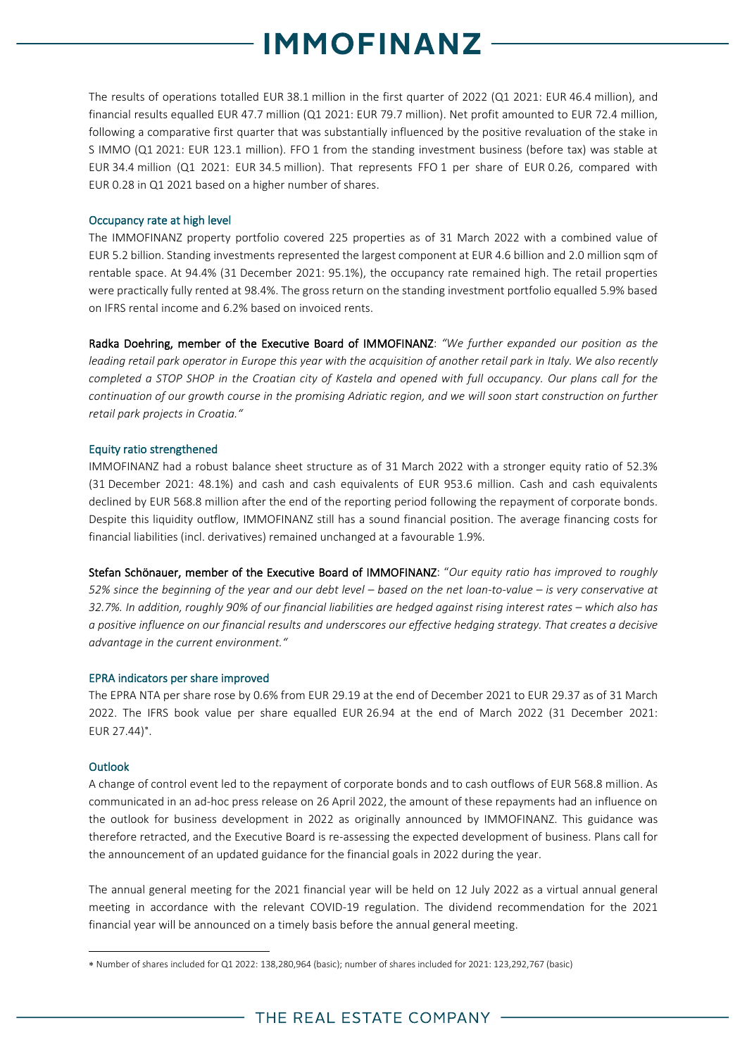### **MMOFINANZ**

The results of operations totalled EUR 38.1 million in the first quarter of 2022 (Q1 2021: EUR 46.4 million), and financial results equalled EUR 47.7 million (Q1 2021: EUR 79.7 million). Net profit amounted to EUR 72.4 million, following a comparative first quarter that was substantially influenced by the positive revaluation of the stake in S IMMO (Q1 2021: EUR 123.1 million). FFO 1 from the standing investment business (before tax) was stable at EUR 34.4 million (Q1 2021: EUR 34.5 million). That represents FFO 1 per share of EUR 0.26, compared with EUR 0.28 in Q1 2021 based on a higher number of shares.

#### Occupancy rate at high level

The IMMOFINANZ property portfolio covered 225 properties as of 31 March 2022 with a combined value of EUR 5.2 billion. Standing investments represented the largest component at EUR 4.6 billion and 2.0 million sqm of rentable space. At 94.4% (31 December 2021: 95.1%), the occupancy rate remained high. The retail properties were practically fully rented at 98.4%. The gross return on the standing investment portfolio equalled 5.9% based on IFRS rental income and 6.2% based on invoiced rents.

Radka Doehring, member of the Executive Board of IMMOFINANZ: *"We further expanded our position as the leading retail park operator in Europe this year with the acquisition of another retail park in Italy. We also recently completed a STOP SHOP in the Croatian city of Kastela and opened with full occupancy. Our plans call for the continuation of our growth course in the promising Adriatic region, and we will soon start construction on further retail park projects in Croatia."*

#### Equity ratio strengthened

IMMOFINANZ had a robust balance sheet structure as of 31 March 2022 with a stronger equity ratio of 52.3% (31 December 2021: 48.1%) and cash and cash equivalents of EUR 953.6 million. Cash and cash equivalents declined by EUR 568.8 million after the end of the reporting period following the repayment of corporate bonds. Despite this liquidity outflow, IMMOFINANZ still has a sound financial position. The average financing costs for financial liabilities (incl. derivatives) remained unchanged at a favourable 1.9%.

Stefan Schönauer, member of the Executive Board of IMMOFINANZ: "*Our equity ratio has improved to roughly 52% since the beginning of the year and our debt level – based on the net loan-to-value – is very conservative at 32.7%. In addition, roughly 90% of our financial liabilities are hedged against rising interest rates – which also has a positive influence on our financial results and underscores our effective hedging strategy. That creates a decisive advantage in the current environment."* 

#### EPRA indicators per share improved

The EPRA NTA per share rose by 0.6% from EUR 29.19 at the end of December 2021 to EUR 29.37 as of 31 March 2022. The IFRS book value per share equalled EUR 26.94 at the end of March 2022 (31 December 2021: EUR 27.44) .

#### **Outlook**

A change of control event led to the repayment of corporate bonds and to cash outflows of EUR 568.8 million. As communicated in an ad-hoc press release on 26 April 2022, the amount of these repayments had an influence on the outlook for business development in 2022 as originally announced by IMMOFINANZ. This guidance was therefore retracted, and the Executive Board is re-assessing the expected development of business. Plans call for the announcement of an updated guidance for the financial goals in 2022 during the year.

The annual general meeting for the 2021 financial year will be held on 12 July 2022 as a virtual annual general meeting in accordance with the relevant COVID-19 regulation. The dividend recommendation for the 2021 financial year will be announced on a timely basis before the annual general meeting.

Number of shares included for Q1 2022: 138,280,964 (basic); number of shares included for 2021: 123,292,767 (basic)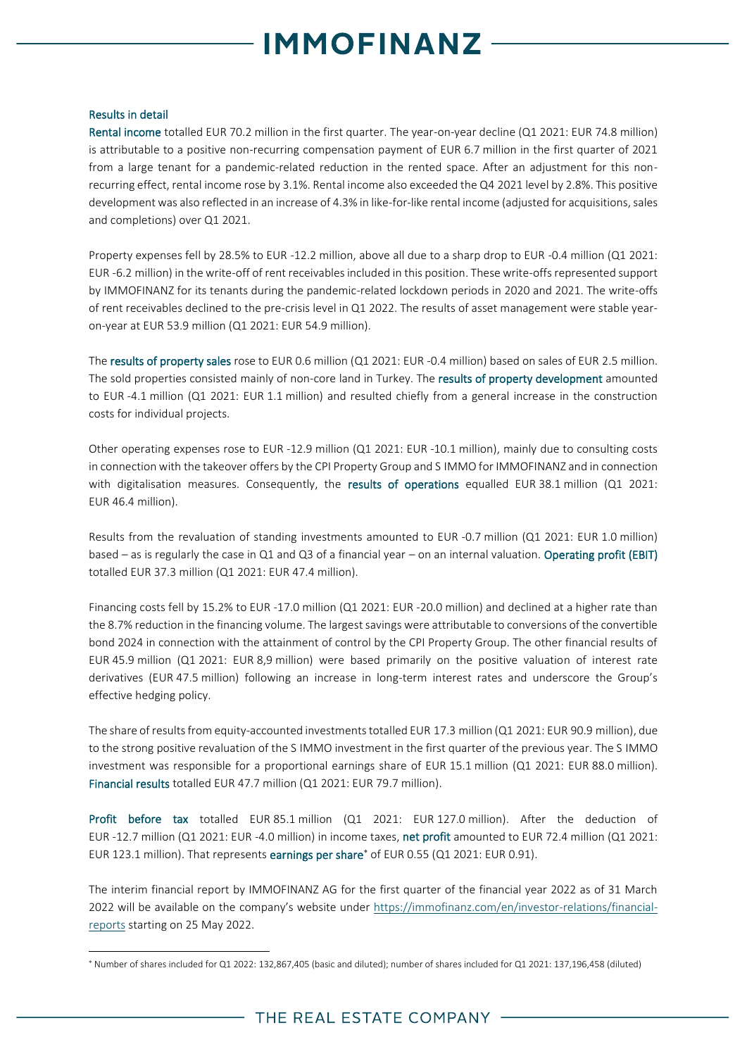# **MMOFINANZ**

#### Results in detail

Rental income totalled EUR 70.2 million in the first quarter. The year-on-year decline (Q1 2021: EUR 74.8 million) is attributable to a positive non-recurring compensation payment of EUR 6.7 million in the first quarter of 2021 from a large tenant for a pandemic-related reduction in the rented space. After an adjustment for this nonrecurring effect, rental income rose by 3.1%. Rental income also exceeded the Q4 2021 level by 2.8%. This positive development was also reflected in an increase of 4.3% in like-for-like rental income (adjusted for acquisitions, sales and completions) over Q1 2021.

Property expenses fell by 28.5% to EUR -12.2 million, above all due to a sharp drop to EUR -0.4 million (Q1 2021: EUR -6.2 million) in the write-off of rent receivablesincluded in this position. These write-offs represented support by IMMOFINANZ for its tenants during the pandemic-related lockdown periods in 2020 and 2021. The write-offs of rent receivables declined to the pre-crisis level in Q1 2022. The results of asset management were stable yearon-year at EUR 53.9 million (Q1 2021: EUR 54.9 million).

The results of property sales rose to EUR 0.6 million (Q1 2021: EUR -0.4 million) based on sales of EUR 2.5 million. The sold properties consisted mainly of non-core land in Turkey. The results of property development amounted to EUR -4.1 million (Q1 2021: EUR 1.1 million) and resulted chiefly from a general increase in the construction costs for individual projects.

Other operating expenses rose to EUR -12.9 million (Q1 2021: EUR -10.1 million), mainly due to consulting costs in connection with the takeover offers by the CPI Property Group and S IMMO for IMMOFINANZ and in connection with digitalisation measures. Consequently, the results of operations equalled EUR 38.1 million (Q1 2021: EUR 46.4 million).

Results from the revaluation of standing investments amounted to EUR -0.7 million (Q1 2021: EUR 1.0 million) based – as is regularly the case in Q1 and Q3 of a financial year – on an internal valuation. Operating profit (EBIT) totalled EUR 37.3 million (Q1 2021: EUR 47.4 million).

Financing costs fell by 15.2% to EUR -17.0 million (Q1 2021: EUR -20.0 million) and declined at a higher rate than the 8.7% reduction in the financing volume. The largest savings were attributable to conversions of the convertible bond 2024 in connection with the attainment of control by the CPI Property Group. The other financial results of EUR 45.9 million (Q1 2021: EUR 8,9 million) were based primarily on the positive valuation of interest rate derivatives (EUR 47.5 million) following an increase in long-term interest rates and underscore the Group's effective hedging policy.

The share of results from equity-accounted investments totalled EUR 17.3 million (Q1 2021: EUR 90.9 million), due to the strong positive revaluation of the S IMMO investment in the first quarter of the previous year. The S IMMO investment was responsible for a proportional earnings share of EUR 15.1 million (Q1 2021: EUR 88.0 million). Financial results totalled EUR 47.7 million (Q1 2021: EUR 79.7 million).

Profit before tax totalled EUR 85.1 million (Q1 2021: EUR 127.0 million). After the deduction of EUR -12.7 million (Q1 2021: EUR -4.0 million) in income taxes, net profit amounted to EUR 72.4 million (Q1 2021: EUR 123.1 million). That represents earnings per share\* of EUR 0.55 (Q1 2021: EUR 0.91).

The interim financial report by IMMOFINANZ AG for the first quarter of the financial year 2022 as of 31 March 2022 will be available on the company's website under [https://immofinanz.com/en/investor-relations/financial](https://immofinanz.com/en/investor-relations/financial-reports)[reports](https://immofinanz.com/en/investor-relations/financial-reports) starting on 25 May 2022.

<sup>\*</sup> Number of shares included for Q1 2022: 132,867,405 (basic and diluted); number of shares included for Q1 2021: 137,196,458 (diluted)